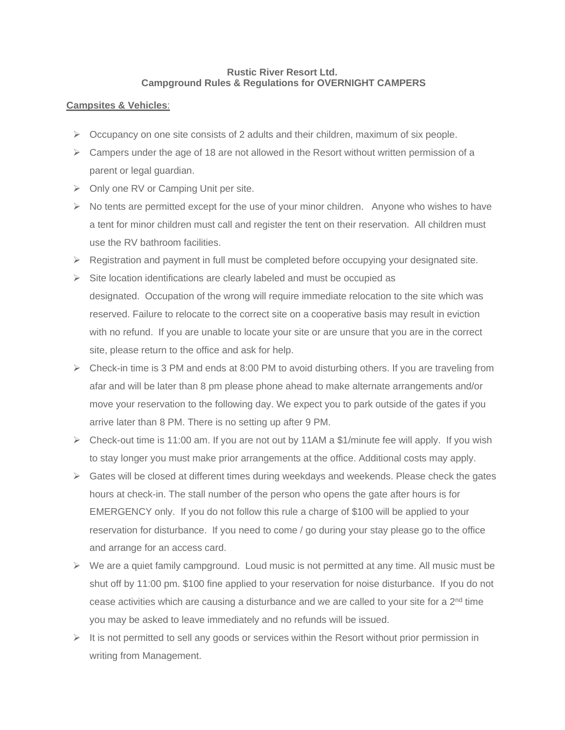## **Rustic River Resort Ltd. Campground Rules & Regulations for OVERNIGHT CAMPERS**

# **Campsites & Vehicles**:

- $\triangleright$  Occupancy on one site consists of 2 adults and their children, maximum of six people.
- $\triangleright$  Campers under the age of 18 are not allowed in the Resort without written permission of a parent or legal guardian.
- ➢ Only one RV or Camping Unit per site.
- $\triangleright$  No tents are permitted except for the use of your minor children. Anyone who wishes to have a tent for minor children must call and register the tent on their reservation. All children must use the RV bathroom facilities.
- $\triangleright$  Registration and payment in full must be completed before occupying your designated site.
- $\triangleright$  Site location identifications are clearly labeled and must be occupied as designated. Occupation of the wrong will require immediate relocation to the site which was reserved. Failure to relocate to the correct site on a cooperative basis may result in eviction with no refund. If you are unable to locate your site or are unsure that you are in the correct site, please return to the office and ask for help.
- $\triangleright$  Check-in time is 3 PM and ends at 8:00 PM to avoid disturbing others. If you are traveling from afar and will be later than 8 pm please phone ahead to make alternate arrangements and/or move your reservation to the following day. We expect you to park outside of the gates if you arrive later than 8 PM. There is no setting up after 9 PM.
- ➢ Check-out time is 11:00 am. If you are not out by 11AM a \$1/minute fee will apply. If you wish to stay longer you must make prior arrangements at the office. Additional costs may apply.
- ➢ Gates will be closed at different times during weekdays and weekends. Please check the gates hours at check-in. The stall number of the person who opens the gate after hours is for EMERGENCY only. If you do not follow this rule a charge of \$100 will be applied to your reservation for disturbance. If you need to come / go during your stay please go to the office and arrange for an access card.
- $\triangleright$  We are a quiet family campground. Loud music is not permitted at any time. All music must be shut off by 11:00 pm. \$100 fine applied to your reservation for noise disturbance. If you do not cease activities which are causing a disturbance and we are called to your site for a 2<sup>nd</sup> time you may be asked to leave immediately and no refunds will be issued.
- $\triangleright$  It is not permitted to sell any goods or services within the Resort without prior permission in writing from Management.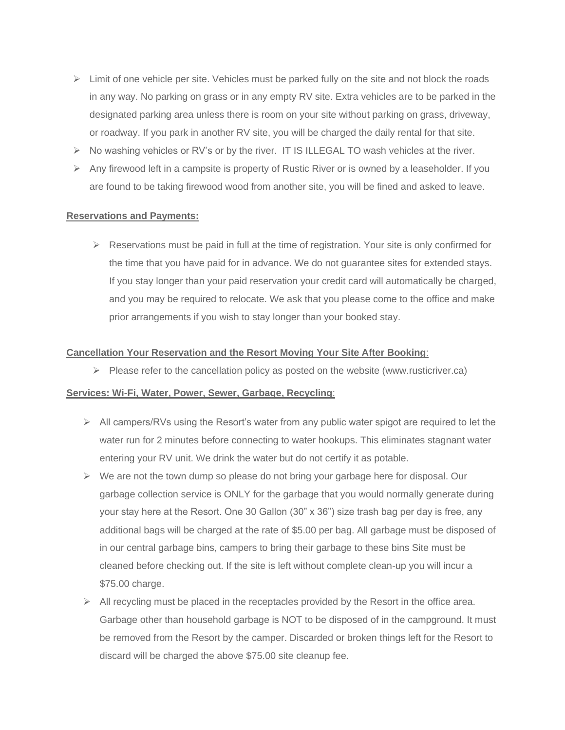- $\triangleright$  Limit of one vehicle per site. Vehicles must be parked fully on the site and not block the roads in any way. No parking on grass or in any empty RV site. Extra vehicles are to be parked in the designated parking area unless there is room on your site without parking on grass, driveway, or roadway. If you park in another RV site, you will be charged the daily rental for that site.
- $\triangleright$  No washing vehicles or RV's or by the river. IT IS ILLEGAL TO wash vehicles at the river.
- $\triangleright$  Any firewood left in a campsite is property of Rustic River or is owned by a leaseholder. If you are found to be taking firewood wood from another site, you will be fined and asked to leave.

### **Reservations and Payments:**

 $\triangleright$  Reservations must be paid in full at the time of registration. Your site is only confirmed for the time that you have paid for in advance. We do not guarantee sites for extended stays. If you stay longer than your paid reservation your credit card will automatically be charged, and you may be required to relocate. We ask that you please come to the office and make prior arrangements if you wish to stay longer than your booked stay.

### **Cancellation Your Reservation and the Resort Moving Your Site After Booking**:

 $\triangleright$  Please refer to the cancellation policy as posted on the website (www.rusticriver.ca)

# **Services: Wi-Fi, Water, Power, Sewer, Garbage, Recycling**:

- $\triangleright$  All campers/RVs using the Resort's water from any public water spigot are required to let the water run for 2 minutes before connecting to water hookups. This eliminates stagnant water entering your RV unit. We drink the water but do not certify it as potable.
- $\triangleright$  We are not the town dump so please do not bring your garbage here for disposal. Our garbage collection service is ONLY for the garbage that you would normally generate during your stay here at the Resort. One 30 Gallon (30" x 36") size trash bag per day is free, any additional bags will be charged at the rate of \$5.00 per bag. All garbage must be disposed of in our central garbage bins, campers to bring their garbage to these bins Site must be cleaned before checking out. If the site is left without complete clean-up you will incur a \$75.00 charge.
- $\triangleright$  All recycling must be placed in the receptacles provided by the Resort in the office area. Garbage other than household garbage is NOT to be disposed of in the campground. It must be removed from the Resort by the camper. Discarded or broken things left for the Resort to discard will be charged the above \$75.00 site cleanup fee.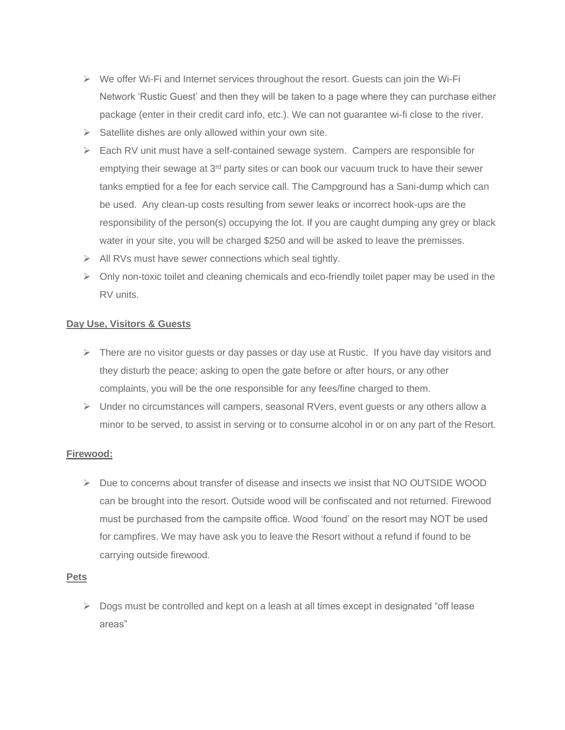- $\triangleright$  We offer Wi-Fi and Internet services throughout the resort. Guests can join the Wi-Fi Network 'Rustic Guest' and then they will be taken to a page where they can purchase either package (enter in their credit card info, etc.). We can not guarantee wi-fi close to the river.
- $\triangleright$  Satellite dishes are only allowed within your own site.
- $\triangleright$  Each RV unit must have a self-contained sewage system. Campers are responsible for emptying their sewage at 3<sup>rd</sup> party sites or can book our vacuum truck to have their sewer tanks emptied for a fee for each service call. The Campground has a Sani-dump which can be used. Any clean-up costs resulting from sewer leaks or incorrect hook-ups are the responsibility of the person(s) occupying the lot. If you are caught dumping any grey or black water in your site, you will be charged \$250 and will be asked to leave the premisses.
- ➢ All RVs must have sewer connections which seal tightly.
- $\triangleright$  Only non-toxic toilet and cleaning chemicals and eco-friendly toilet paper may be used in the RV units.

# **Day Use, Visitors & Guests**

- $\triangleright$  There are no visitor quests or day passes or day use at Rustic. If you have day visitors and they disturb the peace; asking to open the gate before or after hours, or any other complaints, you will be the one responsible for any fees/fine charged to them.
- ➢ Under no circumstances will campers, seasonal RVers, event guests or any others allow a minor to be served, to assist in serving or to consume alcohol in or on any part of the Resort.

# **Firewood:**

 $\triangleright$  Due to concerns about transfer of disease and insects we insist that NO OUTSIDE WOOD can be brought into the resort. Outside wood will be confiscated and not returned. Firewood must be purchased from the campsite office. Wood 'found' on the resort may NOT be used for campfires. We may have ask you to leave the Resort without a refund if found to be carrying outside firewood.

## **Pets**

➢ Dogs must be controlled and kept on a leash at all times except in designated "off lease areas"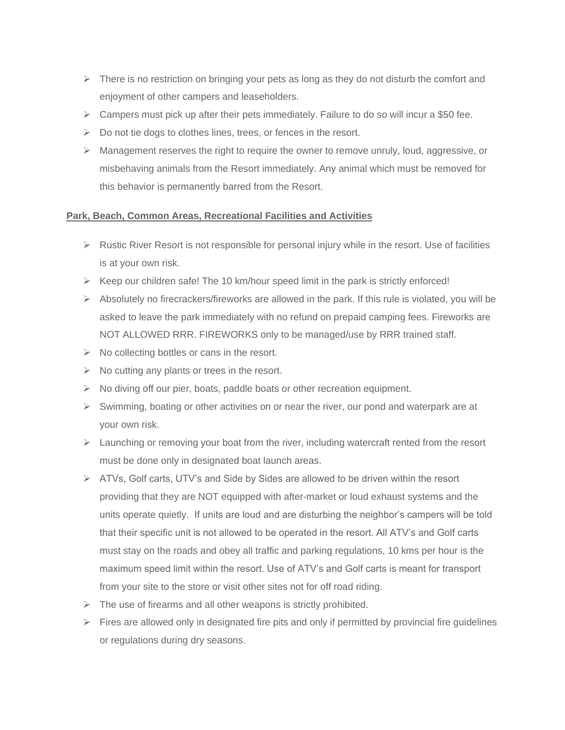- $\triangleright$  There is no restriction on bringing your pets as long as they do not disturb the comfort and enjoyment of other campers and leaseholders.
- $\triangleright$  Campers must pick up after their pets immediately. Failure to do so will incur a \$50 fee.
- $\triangleright$  Do not tie dogs to clothes lines, trees, or fences in the resort.
- $\triangleright$  Management reserves the right to require the owner to remove unruly, loud, aggressive, or misbehaving animals from the Resort immediately. Any animal which must be removed for this behavior is permanently barred from the Resort.

# **Park, Beach, Common Areas, Recreational Facilities and Activities**

- $\triangleright$  Rustic River Resort is not responsible for personal injury while in the resort. Use of facilities is at your own risk.
- $\triangleright$  Keep our children safe! The 10 km/hour speed limit in the park is strictly enforced!
- ➢ Absolutely no firecrackers/fireworks are allowed in the park. If this rule is violated, you will be asked to leave the park immediately with no refund on prepaid camping fees. Fireworks are NOT ALLOWED RRR. FIREWORKS only to be managed/use by RRR trained staff.
- $\triangleright$  No collecting bottles or cans in the resort.
- $\triangleright$  No cutting any plants or trees in the resort.
- $\triangleright$  No diving off our pier, boats, paddle boats or other recreation equipment.
- $\triangleright$  Swimming, boating or other activities on or near the river, our pond and waterpark are at your own risk.
- $\triangleright$  Launching or removing your boat from the river, including watercraft rented from the resort must be done only in designated boat launch areas.
- $\triangleright$  ATVs, Golf carts, UTV's and Side by Sides are allowed to be driven within the resort providing that they are NOT equipped with after-market or loud exhaust systems and the units operate quietly. If units are loud and are disturbing the neighbor's campers will be told that their specific unit is not allowed to be operated in the resort. All ATV's and Golf carts must stay on the roads and obey all traffic and parking regulations, 10 kms per hour is the maximum speed limit within the resort. Use of ATV's and Golf carts is meant for transport from your site to the store or visit other sites not for off road riding.
- $\triangleright$  The use of firearms and all other weapons is strictly prohibited.
- $\triangleright$  Fires are allowed only in designated fire pits and only if permitted by provincial fire quidelines or regulations during dry seasons.